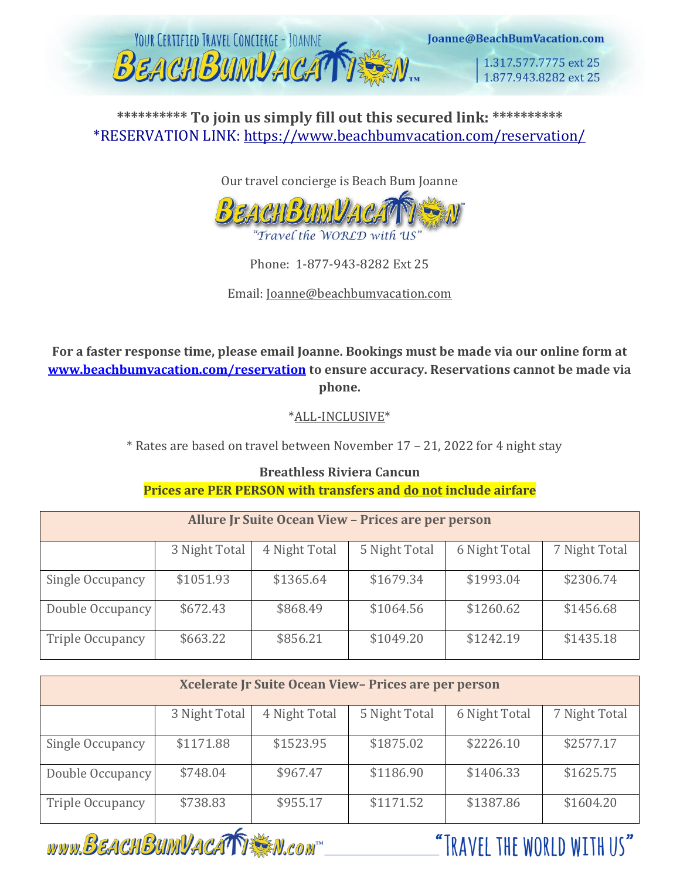

**\*\*\*\*\*\*\*\*\*\* To join us simply fill out this secured link: \*\*\*\*\*\*\*\*\*\*** \*RESERVATION LINK:<https://www.beachbumvacation.com/reservation/>

Our travel concierge is Beach Bum Joanne



Phone: 1-877-943-8282 Ext 25

Email: Joanne@beachbumvacation.com

**For a faster response time, please email Joanne. Bookings must be made via our online form at [www.beachbumvacation.com/reservation](http://www.beachbumvacation.com/reservation) to ensure accuracy. Reservations cannot be made via phone.**

\*ALL-INCLUSIVE\*

\* Rates are based on travel between November 17 – 21, 2022 for 4 night stay

## **Breathless Riviera Cancun Prices are PER PERSON with transfers and do not include airfare**

| Allure Jr Suite Ocean View - Prices are per person |               |               |               |               |               |
|----------------------------------------------------|---------------|---------------|---------------|---------------|---------------|
|                                                    | 3 Night Total | 4 Night Total | 5 Night Total | 6 Night Total | 7 Night Total |
| Single Occupancy                                   | \$1051.93     | \$1365.64     | \$1679.34     | \$1993.04     | \$2306.74     |
| Double Occupancy                                   | \$672.43      | \$868.49      | \$1064.56     | \$1260.62     | \$1456.68     |
| Triple Occupancy                                   | \$663.22      | \$856.21      | \$1049.20     | \$1242.19     | \$1435.18     |

| Xcelerate Jr Suite Ocean View-Prices are per person |               |               |               |               |               |
|-----------------------------------------------------|---------------|---------------|---------------|---------------|---------------|
|                                                     | 3 Night Total | 4 Night Total | 5 Night Total | 6 Night Total | 7 Night Total |
| Single Occupancy                                    | \$1171.88     | \$1523.95     | \$1875.02     | \$2226.10     | \$2577.17     |
| Double Occupancy                                    | \$748.04      | \$967.47      | \$1186.90     | \$1406.33     | \$1625.75     |
| Triple Occupancy                                    | \$738.83      | \$955.17      | \$1171.52     | \$1387.86     | \$1604.20     |

www.BEACHBUMVACATTEM.com

"TRAVFI THE WORLD WITH US"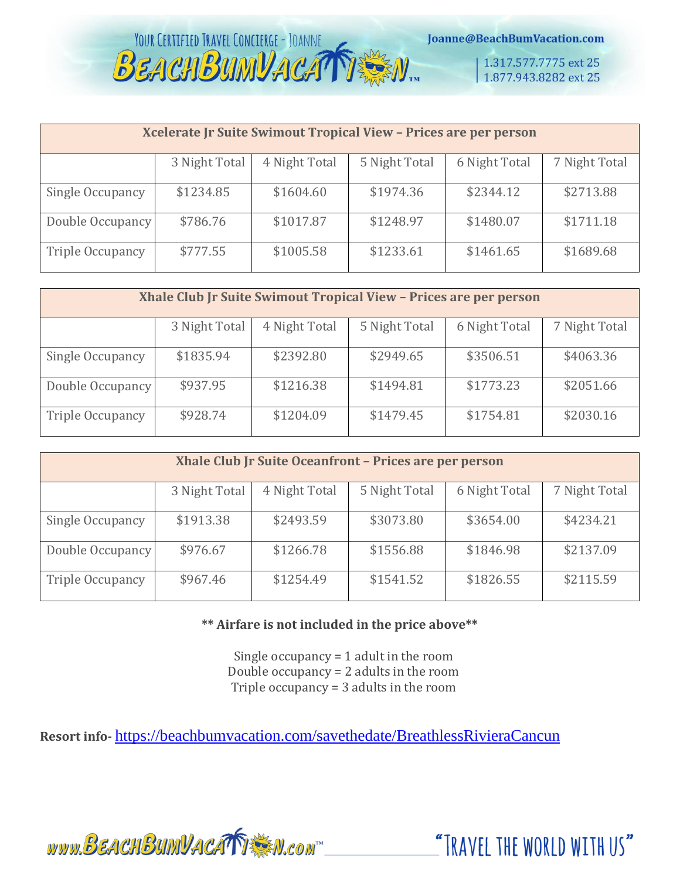

Joanne@BeachBumVacation.com

1.317.577.7775 ext 25 1.877.943.8282 ext 25

| Xcelerate Jr Suite Swimout Tropical View - Prices are per person |               |               |               |               |               |
|------------------------------------------------------------------|---------------|---------------|---------------|---------------|---------------|
|                                                                  | 3 Night Total | 4 Night Total | 5 Night Total | 6 Night Total | 7 Night Total |
| Single Occupancy                                                 | \$1234.85     | \$1604.60     | \$1974.36     | \$2344.12     | \$2713.88     |
| Double Occupancy                                                 | \$786.76      | \$1017.87     | \$1248.97     | \$1480.07     | \$1711.18     |
| <b>Triple Occupancy</b>                                          | \$777.55      | \$1005.58     | \$1233.61     | \$1461.65     | \$1689.68     |

| Xhale Club Jr Suite Swimout Tropical View - Prices are per person |               |               |               |               |               |
|-------------------------------------------------------------------|---------------|---------------|---------------|---------------|---------------|
|                                                                   | 3 Night Total | 4 Night Total | 5 Night Total | 6 Night Total | 7 Night Total |
| Single Occupancy                                                  | \$1835.94     | \$2392.80     | \$2949.65     | \$3506.51     | \$4063.36     |
| Double Occupancy                                                  | \$937.95      | \$1216.38     | \$1494.81     | \$1773.23     | \$2051.66     |
| Triple Occupancy                                                  | \$928.74      | \$1204.09     | \$1479.45     | \$1754.81     | \$2030.16     |

| Xhale Club Jr Suite Oceanfront - Prices are per person |               |               |               |               |               |
|--------------------------------------------------------|---------------|---------------|---------------|---------------|---------------|
|                                                        | 3 Night Total | 4 Night Total | 5 Night Total | 6 Night Total | 7 Night Total |
| Single Occupancy                                       | \$1913.38     | \$2493.59     | \$3073.80     | \$3654.00     | \$4234.21     |
| Double Occupancy                                       | \$976.67      | \$1266.78     | \$1556.88     | \$1846.98     | \$2137.09     |
| <b>Triple Occupancy</b>                                | \$967.46      | \$1254.49     | \$1541.52     | \$1826.55     | \$2115.59     |

### **\*\* Airfare is not included in the price above\*\***

Single occupancy = 1 adult in the room Double occupancy = 2 adults in the room Triple occupancy = 3 adults in the room

**Resort info-** <https://beachbumvacation.com/savethedate/BreathlessRivieraCancun>

www.BEACHBUMVACATTEN.com

"TRAVEL THE WORLD WITH US"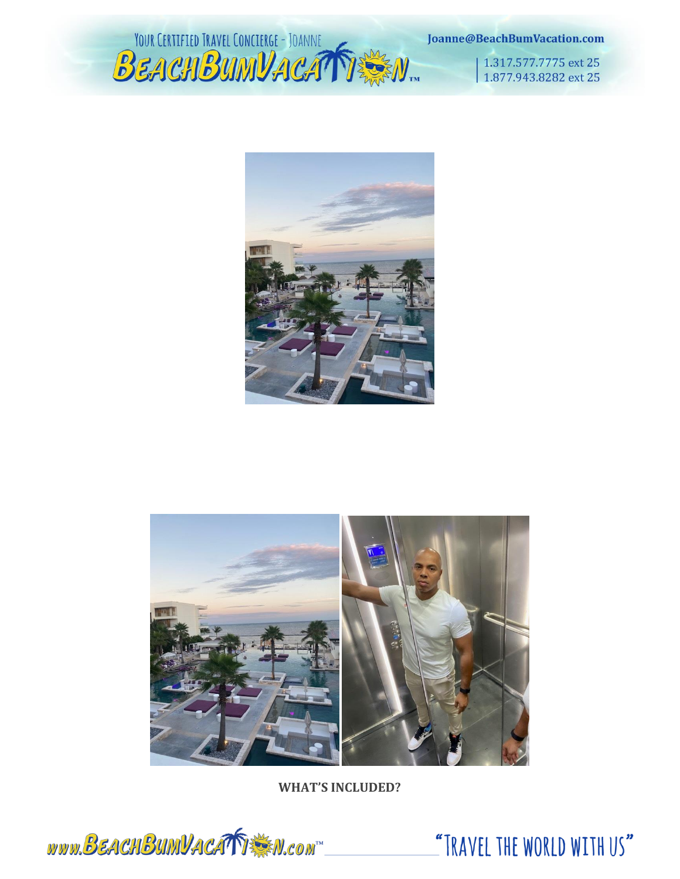YOUR CERTIFIED TRAVEL CONCIERGE - JOANNE

Joanne@BeachBumVacation.com

1.317.577.7775 ext 25 1.877.943.8282 ext 25





**WHAT'S INCLUDED?**



"TRAVEL THE WORLD WITH US"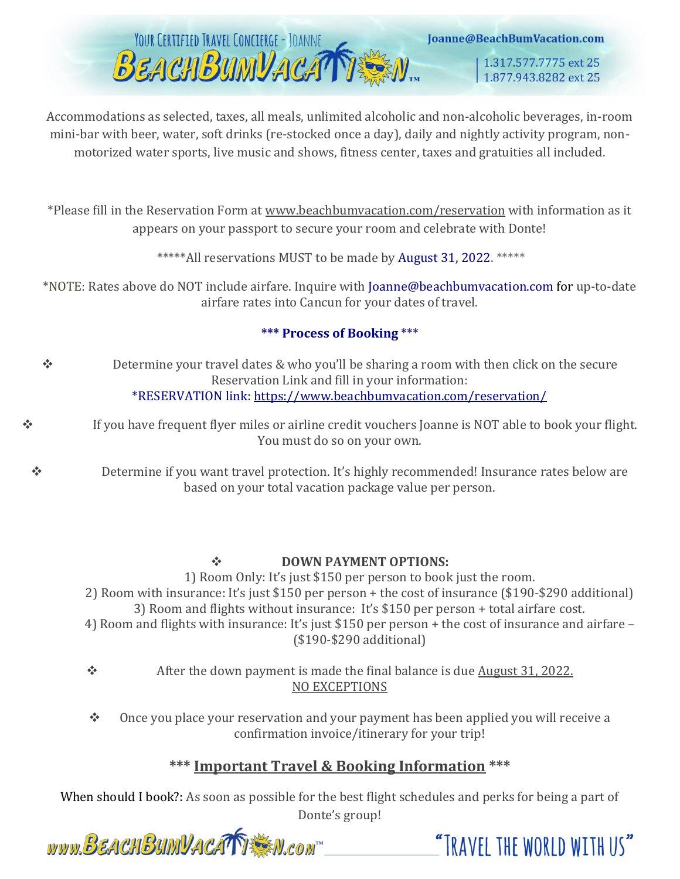

Accommodations as selected, taxes, all meals, unlimited alcoholic and non-alcoholic beverages, in-room mini-bar with beer, water, soft drinks (re-stocked once a day), daily and nightly activity program, nonmotorized water sports, live music and shows, fitness center, taxes and gratuities all included.

\*Please fill in the Reservation Form at [www.beachbumvacation.com/reservation](http://www.beachbumvacation.com/reservation) with information as it appears on your passport to secure your room and celebrate with Donte!

\*\*\*\*\*All reservations MUST to be made by August 31, 2022. \*\*\*\*\*

\*NOTE: Rates above do NOT include airfare. Inquire with Joanne@beachbumvacation.com for up-to-date airfare rates into Cancun for your dates of travel.

## **\*\*\* Process of Booking** \*\*\*

- ❖ Determine your travel dates & who you'll be sharing a room with then click on the secure Reservation Link and fill in your information: \*RESERVATION link:<https://www.beachbumvacation.com/reservation/>
- ❖ If you have frequent flyer miles or airline credit vouchers Joanne is NOT able to book your flight. You must do so on your own.

❖ Determine if you want travel protection. It's highly recommended! Insurance rates below are based on your total vacation package value per person.

### ❖ **DOWN PAYMENT OPTIONS:**

1) Room Only: It's just \$150 per person to book just the room. 2) Room with insurance: It's just \$150 per person + the cost of insurance (\$190-\$290 additional) 3) Room and flights without insurance: It's \$150 per person + total airfare cost. 4) Room and flights with insurance: It's just \$150 per person + the cost of insurance and airfare – (\$190-\$290 additional)

- ❖ After the down payment is made the final balance is due August 31, 2022. NO EXCEPTIONS
- ❖ Once you place your reservation and your payment has been applied you will receive a confirmation invoice/itinerary for your trip!

## **\*\*\* Important Travel & Booking Information \*\*\***

When should I book?: As soon as possible for the best flight schedules and perks for being a part of Donte's group!



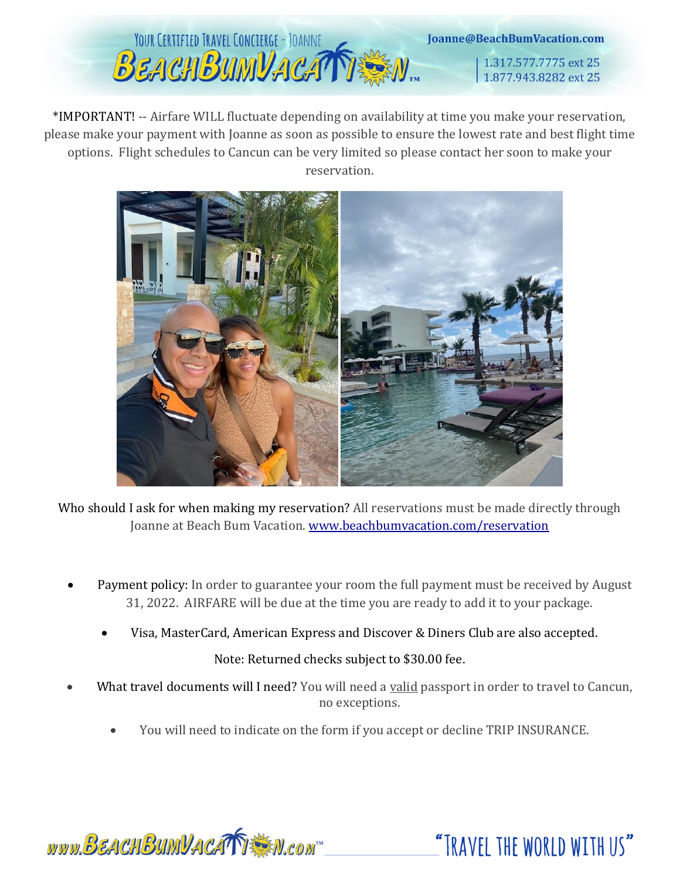

\*IMPORTANT! -- Airfare WILL fluctuate depending on availability at time you make your reservation, please make your payment with Joanne as soon as possible to ensure the lowest rate and best flight time options. Flight schedules to Cancun can be very limited so please contact her soon to make your reservation.



Who should I ask for when making my reservation? All reservations must be made directly through Joanne at Beach Bum Vacation. [www.beachbumvacation.com/reservation](http://www.beachbumvacation.com/reservation)

- Payment policy: In order to guarantee your room the full payment must be received by August 31, 2022. AIRFARE will be due at the time you are ready to add it to your package.
	- Visa, MasterCard, American Express and Discover & Diners Club are also accepted.

## Note: Returned checks subject to \$30.00 fee.

- What travel documents will I need? You will need a valid passport in order to travel to Cancun, no exceptions.
	- You will need to indicate on the form if you accept or decline TRIP INSURANCE.

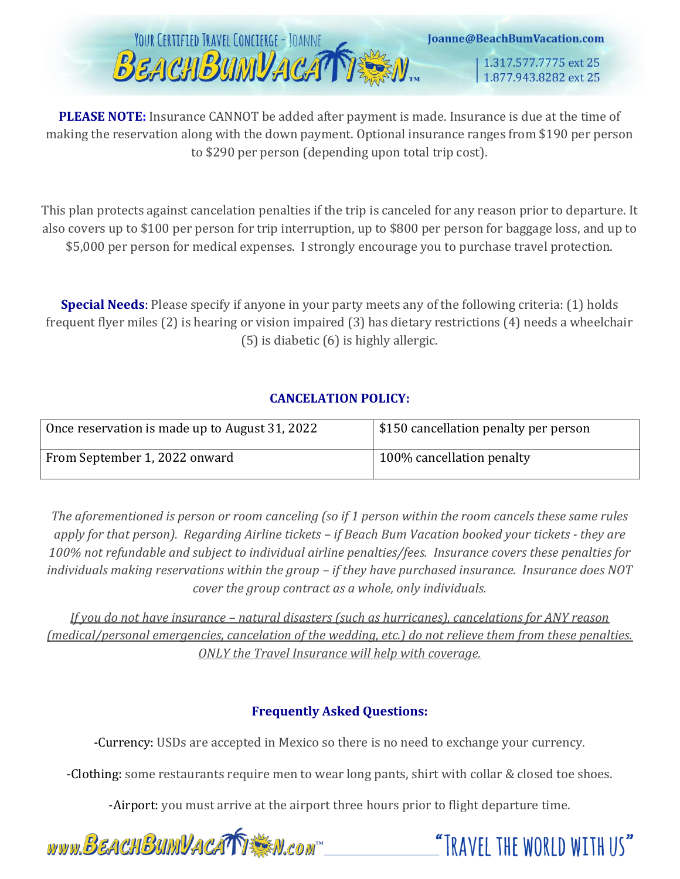

**PLEASE NOTE:** Insurance CANNOT be added after payment is made. Insurance is due at the time of making the reservation along with the down payment. Optional insurance ranges from \$190 per person to \$290 per person (depending upon total trip cost).

This plan protects against cancelation penalties if the trip is canceled for any reason prior to departure. It also covers up to \$100 per person for trip interruption, up to \$800 per person for baggage loss, and up to \$5,000 per person for medical expenses. I strongly encourage you to purchase travel protection.

**Special Needs**: Please specify if anyone in your party meets any of the following criteria: (1) holds frequent flyer miles (2) is hearing or vision impaired (3) has dietary restrictions (4) needs a wheelchair (5) is diabetic (6) is highly allergic.

## **CANCELATION POLICY:**

| Once reservation is made up to August 31, 2022 | \$150 cancellation penalty per person |
|------------------------------------------------|---------------------------------------|
| From September 1, 2022 onward                  | 100% cancellation penalty             |

*The aforementioned is person or room canceling (so if 1 person within the room cancels these same rules apply for that person). Regarding Airline tickets – if Beach Bum Vacation booked your tickets - they are 100% not refundable and subject to individual airline penalties/fees. Insurance covers these penalties for individuals making reservations within the group – if they have purchased insurance. Insurance does NOT cover the group contract as a whole, only individuals.* 

*If you do not have insurance – natural disasters (such as hurricanes), cancelations for ANY reason (medical/personal emergencies, cancelation of the wedding, etc.) do not relieve them from these penalties. ONLY the Travel Insurance will help with coverage.*

## **Frequently Asked Questions:**

-Currency: USDs are accepted in Mexico so there is no need to exchange your currency.

-Clothing: some restaurants require men to wear long pants, shirt with collar & closed toe shoes.

-Airport: you must arrive at the airport three hours prior to flight departure time.

www.BEACHBUMVACATTEN.com